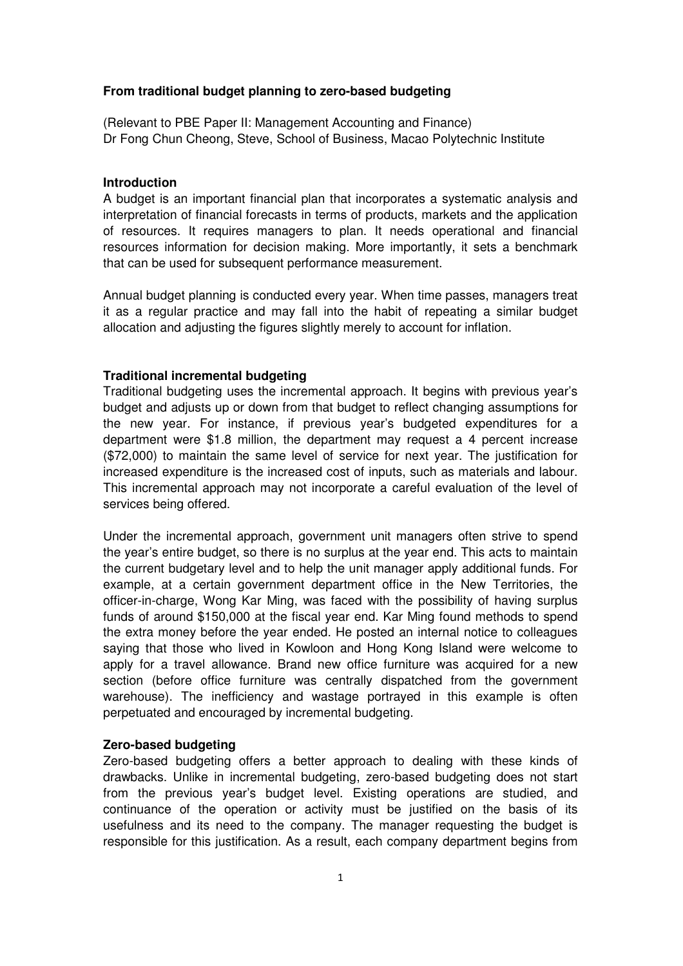### **From traditional budget planning to zero-based budgeting**

(Relevant to PBE Paper II: Management Accounting and Finance) Dr Fong Chun Cheong, Steve, School of Business, Macao Polytechnic Institute

### **Introduction**

A budget is an important financial plan that incorporates a systematic analysis and interpretation of financial forecasts in terms of products, markets and the application of resources. It requires managers to plan. It needs operational and financial resources information for decision making. More importantly, it sets a benchmark that can be used for subsequent performance measurement.

Annual budget planning is conducted every year. When time passes, managers treat it as a regular practice and may fall into the habit of repeating a similar budget allocation and adjusting the figures slightly merely to account for inflation.

### **Traditional incremental budgeting**

Traditional budgeting uses the incremental approach. It begins with previous year's budget and adjusts up or down from that budget to reflect changing assumptions for the new year. For instance, if previous year's budgeted expenditures for a department were \$1.8 million, the department may request a 4 percent increase (\$72,000) to maintain the same level of service for next year. The justification for increased expenditure is the increased cost of inputs, such as materials and labour. This incremental approach may not incorporate a careful evaluation of the level of services being offered.

Under the incremental approach, government unit managers often strive to spend the year's entire budget, so there is no surplus at the year end. This acts to maintain the current budgetary level and to help the unit manager apply additional funds. For example, at a certain government department office in the New Territories, the officer-in-charge, Wong Kar Ming, was faced with the possibility of having surplus funds of around \$150,000 at the fiscal year end. Kar Ming found methods to spend the extra money before the year ended. He posted an internal notice to colleagues saying that those who lived in Kowloon and Hong Kong Island were welcome to apply for a travel allowance. Brand new office furniture was acquired for a new section (before office furniture was centrally dispatched from the government warehouse). The inefficiency and wastage portrayed in this example is often perpetuated and encouraged by incremental budgeting.

#### **Zero-based budgeting**

Zero-based budgeting offers a better approach to dealing with these kinds of drawbacks. Unlike in incremental budgeting, zero-based budgeting does not start from the previous year's budget level. Existing operations are studied, and continuance of the operation or activity must be justified on the basis of its usefulness and its need to the company. The manager requesting the budget is responsible for this justification. As a result, each company department begins from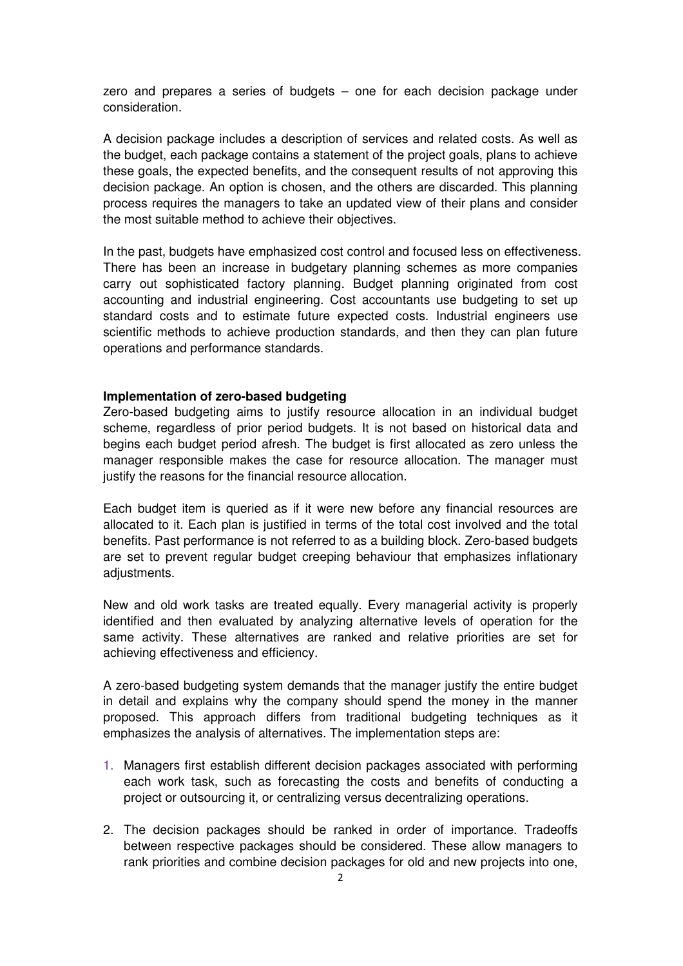zero and prepares a series of budgets – one for each decision package under consideration.

A decision package includes a description of services and related costs. As well as the budget, each package contains a statement of the project goals, plans to achieve these goals, the expected benefits, and the consequent results of not approving this decision package. An option is chosen, and the others are discarded. This planning process requires the managers to take an updated view of their plans and consider the most suitable method to achieve their objectives.

In the past, budgets have emphasized cost control and focused less on effectiveness. There has been an increase in budgetary planning schemes as more companies carry out sophisticated factory planning. Budget planning originated from cost accounting and industrial engineering. Cost accountants use budgeting to set up standard costs and to estimate future expected costs. Industrial engineers use scientific methods to achieve production standards, and then they can plan future operations and performance standards.

## **Implementation of zero-based budgeting**

Zero-based budgeting aims to justify resource allocation in an individual budget scheme, regardless of prior period budgets. It is not based on historical data and begins each budget period afresh. The budget is first allocated as zero unless the manager responsible makes the case for resource allocation. The manager must justify the reasons for the financial resource allocation.

Each budget item is queried as if it were new before any financial resources are allocated to it. Each plan is justified in terms of the total cost involved and the total benefits. Past performance is not referred to as a building block. Zero-based budgets are set to prevent regular budget creeping behaviour that emphasizes inflationary adiustments.

New and old work tasks are treated equally. Every managerial activity is properly identified and then evaluated by analyzing alternative levels of operation for the same activity. These alternatives are ranked and relative priorities are set for achieving effectiveness and efficiency.

A zero-based budgeting system demands that the manager justify the entire budget in detail and explains why the company should spend the money in the manner proposed. This approach differs from traditional budgeting techniques as it emphasizes the analysis of alternatives. The implementation steps are:

- 1. Managers first establish different decision packages associated with performing each work task, such as forecasting the costs and benefits of conducting a project or outsourcing it, or centralizing versus decentralizing operations.
- 2. The decision packages should be ranked in order of importance. Tradeoffs between respective packages should be considered. These allow managers to rank priorities and combine decision packages for old and new projects into one,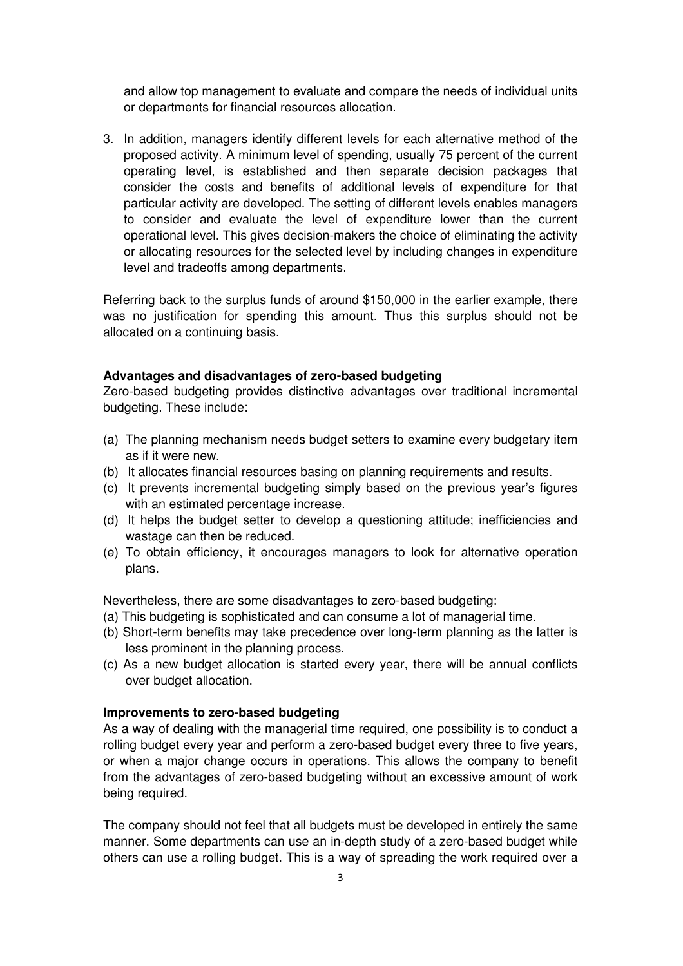and allow top management to evaluate and compare the needs of individual units or departments for financial resources allocation.

3. In addition, managers identify different levels for each alternative method of the proposed activity. A minimum level of spending, usually 75 percent of the current operating level, is established and then separate decision packages that consider the costs and benefits of additional levels of expenditure for that particular activity are developed. The setting of different levels enables managers to consider and evaluate the level of expenditure lower than the current operational level. This gives decision-makers the choice of eliminating the activity or allocating resources for the selected level by including changes in expenditure level and tradeoffs among departments.

Referring back to the surplus funds of around \$150,000 in the earlier example, there was no justification for spending this amount. Thus this surplus should not be allocated on a continuing basis.

### **Advantages and disadvantages of zero-based budgeting**

Zero-based budgeting provides distinctive advantages over traditional incremental budgeting. These include:

- (a) The planning mechanism needs budget setters to examine every budgetary item as if it were new.
- (b) It allocates financial resources basing on planning requirements and results.
- (c) It prevents incremental budgeting simply based on the previous year's figures with an estimated percentage increase.
- (d) It helps the budget setter to develop a questioning attitude; inefficiencies and wastage can then be reduced.
- (e) To obtain efficiency, it encourages managers to look for alternative operation plans.

Nevertheless, there are some disadvantages to zero-based budgeting:

- (a) This budgeting is sophisticated and can consume a lot of managerial time.
- (b) Short-term benefits may take precedence over long-term planning as the latter is less prominent in the planning process.
- (c) As a new budget allocation is started every year, there will be annual conflicts over budget allocation.

# **Improvements to zero-based budgeting**

As a way of dealing with the managerial time required, one possibility is to conduct a rolling budget every year and perform a zero-based budget every three to five years, or when a major change occurs in operations. This allows the company to benefit from the advantages of zero-based budgeting without an excessive amount of work being required.

The company should not feel that all budgets must be developed in entirely the same manner. Some departments can use an in-depth study of a zero-based budget while others can use a rolling budget. This is a way of spreading the work required over a